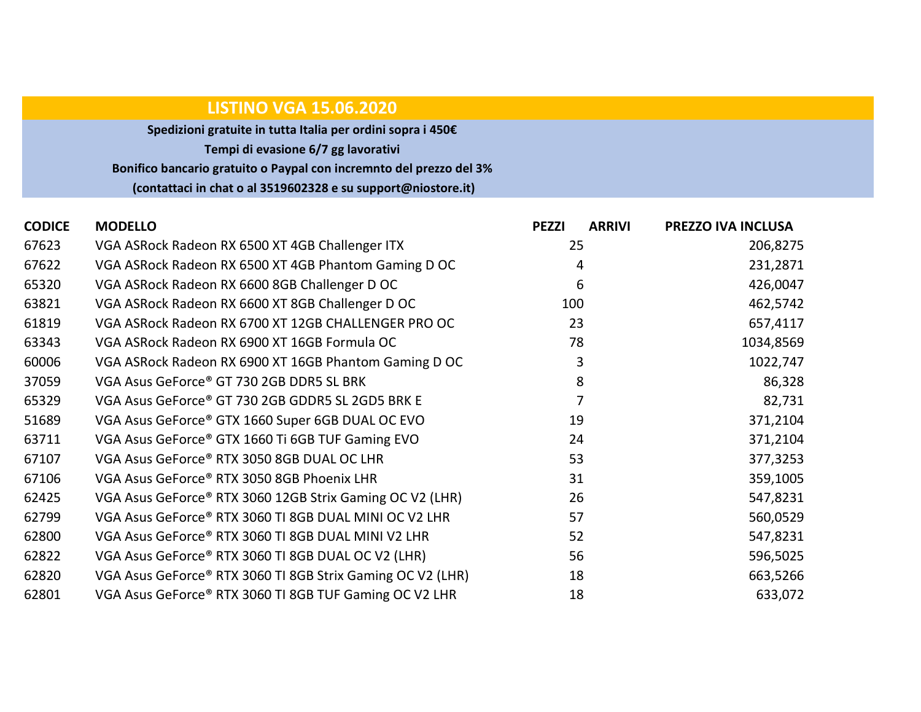## LISTINO VGA 15.06.2020

Spedizioni gratuite in tutta Italia per ordini sopra i 450€ Tempi di evasione 6/7 gg lavorativi Bonifico bancario gratuito o Paypal con incremnto del prezzo del 3% (contattaci in chat o al 3519602328 e su support@niostore.it)

| <b>CODICE</b> | <b>MODELLO</b>                                             | <b>PEZZI</b> | <b>ARRIVI</b> | PREZZO IVA INCLUSA |
|---------------|------------------------------------------------------------|--------------|---------------|--------------------|
| 67623         | VGA ASRock Radeon RX 6500 XT 4GB Challenger ITX            | 25           |               | 206,8275           |
| 67622         | VGA ASRock Radeon RX 6500 XT 4GB Phantom Gaming D OC       |              | 4             | 231,2871           |
| 65320         | VGA ASRock Radeon RX 6600 8GB Challenger D OC              |              | 6             | 426,0047           |
| 63821         | VGA ASRock Radeon RX 6600 XT 8GB Challenger D OC           | 100          |               | 462,5742           |
| 61819         | VGA ASRock Radeon RX 6700 XT 12GB CHALLENGER PRO OC        | 23           |               | 657,4117           |
| 63343         | VGA ASRock Radeon RX 6900 XT 16GB Formula OC               | 78           |               | 1034,8569          |
| 60006         | VGA ASRock Radeon RX 6900 XT 16GB Phantom Gaming D OC      |              | 3             | 1022,747           |
| 37059         | VGA Asus GeForce® GT 730 2GB DDR5 SL BRK                   |              | 8             | 86,328             |
| 65329         | VGA Asus GeForce® GT 730 2GB GDDR5 SL 2GD5 BRK E           |              |               | 82,731             |
| 51689         | VGA Asus GeForce® GTX 1660 Super 6GB DUAL OC EVO           | 19           |               | 371,2104           |
| 63711         | VGA Asus GeForce® GTX 1660 Ti 6GB TUF Gaming EVO           | 24           |               | 371,2104           |
| 67107         | VGA Asus GeForce® RTX 3050 8GB DUAL OC LHR                 | 53           |               | 377,3253           |
| 67106         | VGA Asus GeForce® RTX 3050 8GB Phoenix LHR                 | 31           |               | 359,1005           |
| 62425         | VGA Asus GeForce® RTX 3060 12GB Strix Gaming OC V2 (LHR)   | 26           |               | 547,8231           |
| 62799         | VGA Asus GeForce® RTX 3060 TI 8GB DUAL MINI OC V2 LHR      | 57           |               | 560,0529           |
| 62800         | VGA Asus GeForce® RTX 3060 TI 8GB DUAL MINI V2 LHR         | 52           |               | 547,8231           |
| 62822         | VGA Asus GeForce® RTX 3060 TI 8GB DUAL OC V2 (LHR)         | 56           |               | 596,5025           |
| 62820         | VGA Asus GeForce® RTX 3060 TI 8GB Strix Gaming OC V2 (LHR) | 18           |               | 663,5266           |
| 62801         | VGA Asus GeForce® RTX 3060 TI 8GB TUF Gaming OC V2 LHR     | 18           |               | 633,072            |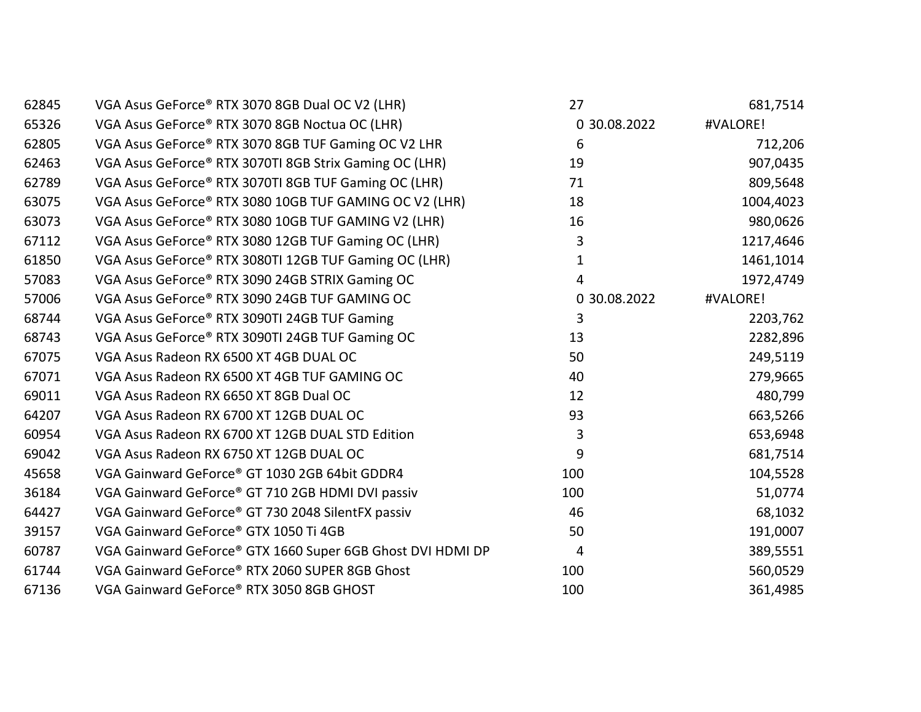| 62845 | VGA Asus GeForce® RTX 3070 8GB Dual OC V2 (LHR)            | 27           | 681,7514  |
|-------|------------------------------------------------------------|--------------|-----------|
| 65326 | VGA Asus GeForce® RTX 3070 8GB Noctua OC (LHR)             | 0 30.08.2022 | #VALORE!  |
| 62805 | VGA Asus GeForce® RTX 3070 8GB TUF Gaming OC V2 LHR        | 6            | 712,206   |
| 62463 | VGA Asus GeForce® RTX 3070TI 8GB Strix Gaming OC (LHR)     | 19           | 907,0435  |
| 62789 | VGA Asus GeForce® RTX 3070TI 8GB TUF Gaming OC (LHR)       | 71           | 809,5648  |
| 63075 | VGA Asus GeForce® RTX 3080 10GB TUF GAMING OC V2 (LHR)     | 18           | 1004,4023 |
| 63073 | VGA Asus GeForce® RTX 3080 10GB TUF GAMING V2 (LHR)        | 16           | 980,0626  |
| 67112 | VGA Asus GeForce® RTX 3080 12GB TUF Gaming OC (LHR)        | 3            | 1217,4646 |
| 61850 | VGA Asus GeForce® RTX 3080TI 12GB TUF Gaming OC (LHR)      | 1            | 1461,1014 |
| 57083 | VGA Asus GeForce® RTX 3090 24GB STRIX Gaming OC            | 4            | 1972,4749 |
| 57006 | VGA Asus GeForce® RTX 3090 24GB TUF GAMING OC              | 0 30.08.2022 | #VALORE!  |
| 68744 | VGA Asus GeForce® RTX 3090TI 24GB TUF Gaming               | 3            | 2203,762  |
| 68743 | VGA Asus GeForce® RTX 3090TI 24GB TUF Gaming OC            | 13           | 2282,896  |
| 67075 | VGA Asus Radeon RX 6500 XT 4GB DUAL OC                     | 50           | 249,5119  |
| 67071 | VGA Asus Radeon RX 6500 XT 4GB TUF GAMING OC               | 40           | 279,9665  |
| 69011 | VGA Asus Radeon RX 6650 XT 8GB Dual OC                     | 12           | 480,799   |
| 64207 | VGA Asus Radeon RX 6700 XT 12GB DUAL OC                    | 93           | 663,5266  |
| 60954 | VGA Asus Radeon RX 6700 XT 12GB DUAL STD Edition           | 3            | 653,6948  |
| 69042 | VGA Asus Radeon RX 6750 XT 12GB DUAL OC                    | 9            | 681,7514  |
| 45658 | VGA Gainward GeForce® GT 1030 2GB 64bit GDDR4              | 100          | 104,5528  |
| 36184 | VGA Gainward GeForce® GT 710 2GB HDMI DVI passiv           | 100          | 51,0774   |
| 64427 | VGA Gainward GeForce® GT 730 2048 SilentFX passiv          | 46           | 68,1032   |
| 39157 | VGA Gainward GeForce® GTX 1050 Ti 4GB                      | 50           | 191,0007  |
| 60787 | VGA Gainward GeForce® GTX 1660 Super 6GB Ghost DVI HDMI DP | 4            | 389,5551  |
| 61744 | VGA Gainward GeForce® RTX 2060 SUPER 8GB Ghost             | 100          | 560,0529  |
| 67136 | VGA Gainward GeForce® RTX 3050 8GB GHOST                   | 100          | 361,4985  |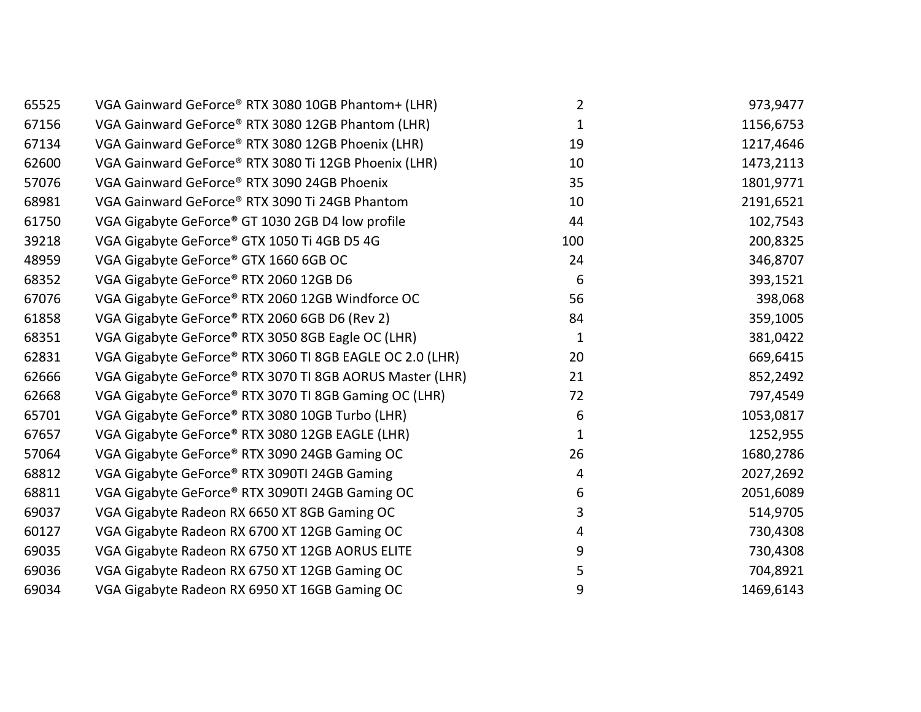| 65525 | VGA Gainward GeForce® RTX 3080 10GB Phantom+ (LHR)       | $\overline{2}$ | 973,9477  |
|-------|----------------------------------------------------------|----------------|-----------|
| 67156 | VGA Gainward GeForce® RTX 3080 12GB Phantom (LHR)        | 1              | 1156,6753 |
| 67134 | VGA Gainward GeForce® RTX 3080 12GB Phoenix (LHR)        | 19             | 1217,4646 |
| 62600 | VGA Gainward GeForce® RTX 3080 Ti 12GB Phoenix (LHR)     | 10             | 1473,2113 |
| 57076 | VGA Gainward GeForce® RTX 3090 24GB Phoenix              | 35             | 1801,9771 |
| 68981 | VGA Gainward GeForce® RTX 3090 Ti 24GB Phantom           | 10             | 2191,6521 |
| 61750 | VGA Gigabyte GeForce® GT 1030 2GB D4 low profile         | 44             | 102,7543  |
| 39218 | VGA Gigabyte GeForce® GTX 1050 Ti 4GB D5 4G              | 100            | 200,8325  |
| 48959 | VGA Gigabyte GeForce® GTX 1660 6GB OC                    | 24             | 346,8707  |
| 68352 | VGA Gigabyte GeForce® RTX 2060 12GB D6                   | 6              | 393,1521  |
| 67076 | VGA Gigabyte GeForce® RTX 2060 12GB Windforce OC         | 56             | 398,068   |
| 61858 | VGA Gigabyte GeForce® RTX 2060 6GB D6 (Rev 2)            | 84             | 359,1005  |
| 68351 | VGA Gigabyte GeForce® RTX 3050 8GB Eagle OC (LHR)        | 1              | 381,0422  |
| 62831 | VGA Gigabyte GeForce® RTX 3060 TI 8GB EAGLE OC 2.0 (LHR) | 20             | 669,6415  |
| 62666 | VGA Gigabyte GeForce® RTX 3070 TI 8GB AORUS Master (LHR) | 21             | 852,2492  |
| 62668 | VGA Gigabyte GeForce® RTX 3070 TI 8GB Gaming OC (LHR)    | 72             | 797,4549  |
| 65701 | VGA Gigabyte GeForce® RTX 3080 10GB Turbo (LHR)          | 6              | 1053,0817 |
| 67657 | VGA Gigabyte GeForce® RTX 3080 12GB EAGLE (LHR)          | 1              | 1252,955  |
| 57064 | VGA Gigabyte GeForce® RTX 3090 24GB Gaming OC            | 26             | 1680,2786 |
| 68812 | VGA Gigabyte GeForce® RTX 3090TI 24GB Gaming             | 4              | 2027,2692 |
| 68811 | VGA Gigabyte GeForce® RTX 3090TI 24GB Gaming OC          | 6              | 2051,6089 |
| 69037 | VGA Gigabyte Radeon RX 6650 XT 8GB Gaming OC             | 3              | 514,9705  |
| 60127 | VGA Gigabyte Radeon RX 6700 XT 12GB Gaming OC            | 4              | 730,4308  |
| 69035 | VGA Gigabyte Radeon RX 6750 XT 12GB AORUS ELITE          | 9              | 730,4308  |
| 69036 | VGA Gigabyte Radeon RX 6750 XT 12GB Gaming OC            | 5              | 704,8921  |
| 69034 | VGA Gigabyte Radeon RX 6950 XT 16GB Gaming OC            | 9              | 1469,6143 |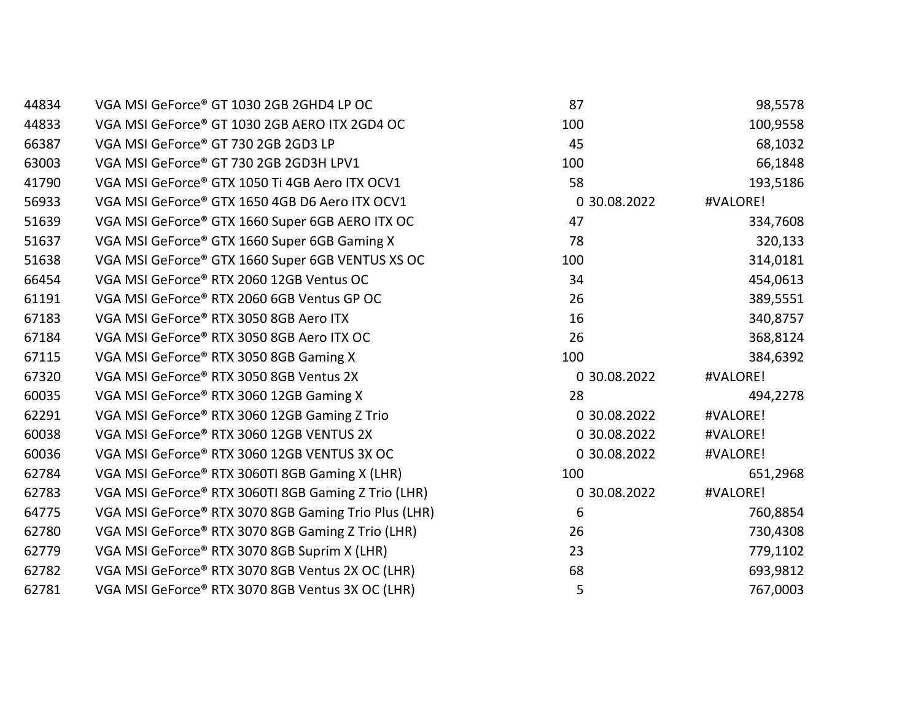| 44834 | VGA MSI GeForce® GT 1030 2GB 2GHD4 LP OC             | 87           | 98,5578  |
|-------|------------------------------------------------------|--------------|----------|
| 44833 | VGA MSI GeForce® GT 1030 2GB AERO ITX 2GD4 OC        | 100          | 100,9558 |
| 66387 | VGA MSI GeForce® GT 730 2GB 2GD3 LP                  | 45           | 68,1032  |
| 63003 | VGA MSI GeForce® GT 730 2GB 2GD3H LPV1               | 100          | 66,1848  |
| 41790 | VGA MSI GeForce® GTX 1050 Ti 4GB Aero ITX OCV1       | 58           | 193,5186 |
| 56933 | VGA MSI GeForce® GTX 1650 4GB D6 Aero ITX OCV1       | 0 30.08.2022 | #VALORE! |
| 51639 | VGA MSI GeForce® GTX 1660 Super 6GB AERO ITX OC      | 47           | 334,7608 |
| 51637 | VGA MSI GeForce® GTX 1660 Super 6GB Gaming X         | 78           | 320,133  |
| 51638 | VGA MSI GeForce® GTX 1660 Super 6GB VENTUS XS OC     | 100          | 314,0181 |
| 66454 | VGA MSI GeForce® RTX 2060 12GB Ventus OC             | 34           | 454,0613 |
| 61191 | VGA MSI GeForce® RTX 2060 6GB Ventus GP OC           | 26           | 389,5551 |
| 67183 | VGA MSI GeForce® RTX 3050 8GB Aero ITX               | 16           | 340,8757 |
| 67184 | VGA MSI GeForce® RTX 3050 8GB Aero ITX OC            | 26           | 368,8124 |
| 67115 | VGA MSI GeForce® RTX 3050 8GB Gaming X               | 100          | 384,6392 |
| 67320 | VGA MSI GeForce® RTX 3050 8GB Ventus 2X              | 0 30.08.2022 | #VALORE! |
| 60035 | VGA MSI GeForce® RTX 3060 12GB Gaming X              | 28           | 494,2278 |
| 62291 | VGA MSI GeForce® RTX 3060 12GB Gaming Z Trio         | 0 30.08.2022 | #VALORE! |
| 60038 | VGA MSI GeForce® RTX 3060 12GB VENTUS 2X             | 0 30.08.2022 | #VALORE! |
| 60036 | VGA MSI GeForce® RTX 3060 12GB VENTUS 3X OC          | 0 30.08.2022 | #VALORE! |
| 62784 | VGA MSI GeForce® RTX 3060TI 8GB Gaming X (LHR)       | 100          | 651,2968 |
| 62783 | VGA MSI GeForce® RTX 3060TI 8GB Gaming Z Trio (LHR)  | 0 30.08.2022 | #VALORE! |
| 64775 | VGA MSI GeForce® RTX 3070 8GB Gaming Trio Plus (LHR) | 6            | 760,8854 |
| 62780 | VGA MSI GeForce® RTX 3070 8GB Gaming Z Trio (LHR)    | 26           | 730,4308 |
| 62779 | VGA MSI GeForce® RTX 3070 8GB Suprim X (LHR)         | 23           | 779,1102 |
| 62782 | VGA MSI GeForce® RTX 3070 8GB Ventus 2X OC (LHR)     | 68           | 693,9812 |
| 62781 | VGA MSI GeForce® RTX 3070 8GB Ventus 3X OC (LHR)     | 5            | 767,0003 |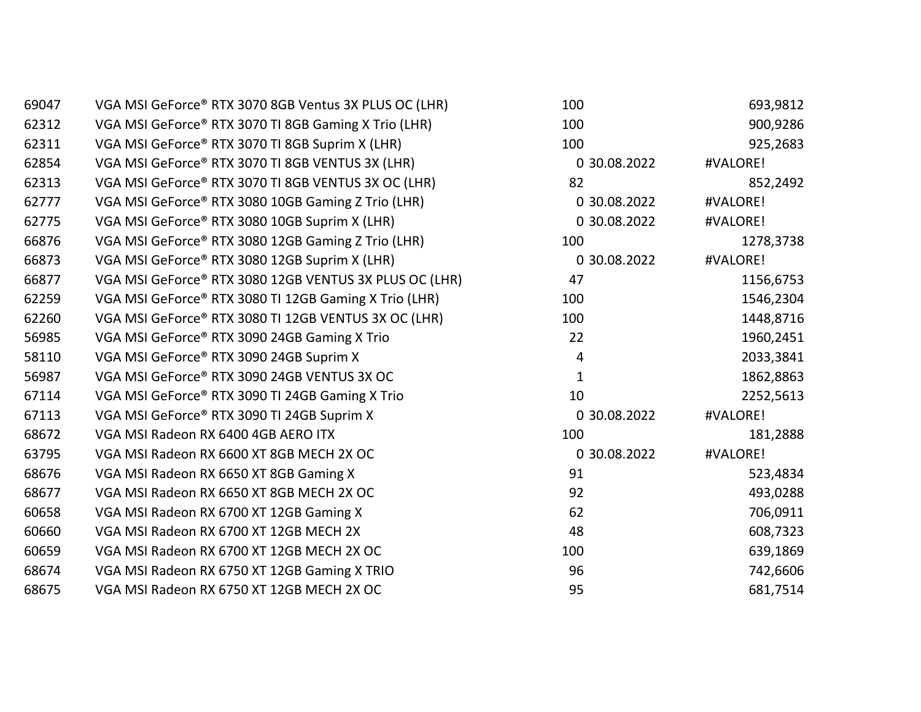| 69047 | VGA MSI GeForce® RTX 3070 8GB Ventus 3X PLUS OC (LHR)  | 100          | 693,9812  |
|-------|--------------------------------------------------------|--------------|-----------|
| 62312 | VGA MSI GeForce® RTX 3070 TI 8GB Gaming X Trio (LHR)   | 100          | 900,9286  |
| 62311 | VGA MSI GeForce® RTX 3070 TI 8GB Suprim X (LHR)        | 100          | 925,2683  |
| 62854 | VGA MSI GeForce® RTX 3070 TI 8GB VENTUS 3X (LHR)       | 0 30.08.2022 | #VALORE!  |
| 62313 | VGA MSI GeForce® RTX 3070 TI 8GB VENTUS 3X OC (LHR)    | 82           | 852,2492  |
| 62777 | VGA MSI GeForce® RTX 3080 10GB Gaming Z Trio (LHR)     | 0 30.08.2022 | #VALORE!  |
| 62775 | VGA MSI GeForce® RTX 3080 10GB Suprim X (LHR)          | 0 30.08.2022 | #VALORE!  |
| 66876 | VGA MSI GeForce® RTX 3080 12GB Gaming Z Trio (LHR)     | 100          | 1278,3738 |
| 66873 | VGA MSI GeForce® RTX 3080 12GB Suprim X (LHR)          | 0 30.08.2022 | #VALORE!  |
| 66877 | VGA MSI GeForce® RTX 3080 12GB VENTUS 3X PLUS OC (LHR) | 47           | 1156,6753 |
| 62259 | VGA MSI GeForce® RTX 3080 TI 12GB Gaming X Trio (LHR)  | 100          | 1546,2304 |
| 62260 | VGA MSI GeForce® RTX 3080 TI 12GB VENTUS 3X OC (LHR)   | 100          | 1448,8716 |
| 56985 | VGA MSI GeForce® RTX 3090 24GB Gaming X Trio           | 22           | 1960,2451 |
| 58110 | VGA MSI GeForce® RTX 3090 24GB Suprim X                | 4            | 2033,3841 |
| 56987 | VGA MSI GeForce® RTX 3090 24GB VENTUS 3X OC            | 1            | 1862,8863 |
| 67114 | VGA MSI GeForce® RTX 3090 TI 24GB Gaming X Trio        | 10           | 2252,5613 |
| 67113 | VGA MSI GeForce® RTX 3090 TI 24GB Suprim X             | 0 30.08.2022 | #VALORE!  |
| 68672 | VGA MSI Radeon RX 6400 4GB AERO ITX                    | 100          | 181,2888  |
| 63795 | VGA MSI Radeon RX 6600 XT 8GB MECH 2X OC               | 0 30.08.2022 | #VALORE!  |
| 68676 | VGA MSI Radeon RX 6650 XT 8GB Gaming X                 | 91           | 523,4834  |
| 68677 | VGA MSI Radeon RX 6650 XT 8GB MECH 2X OC               | 92           | 493,0288  |
| 60658 | VGA MSI Radeon RX 6700 XT 12GB Gaming X                | 62           | 706,0911  |
| 60660 | VGA MSI Radeon RX 6700 XT 12GB MECH 2X                 | 48           | 608,7323  |
| 60659 | VGA MSI Radeon RX 6700 XT 12GB MECH 2X OC              | 100          | 639,1869  |
| 68674 | VGA MSI Radeon RX 6750 XT 12GB Gaming X TRIO           | 96           | 742,6606  |
| 68675 | VGA MSI Radeon RX 6750 XT 12GB MECH 2X OC              | 95           | 681,7514  |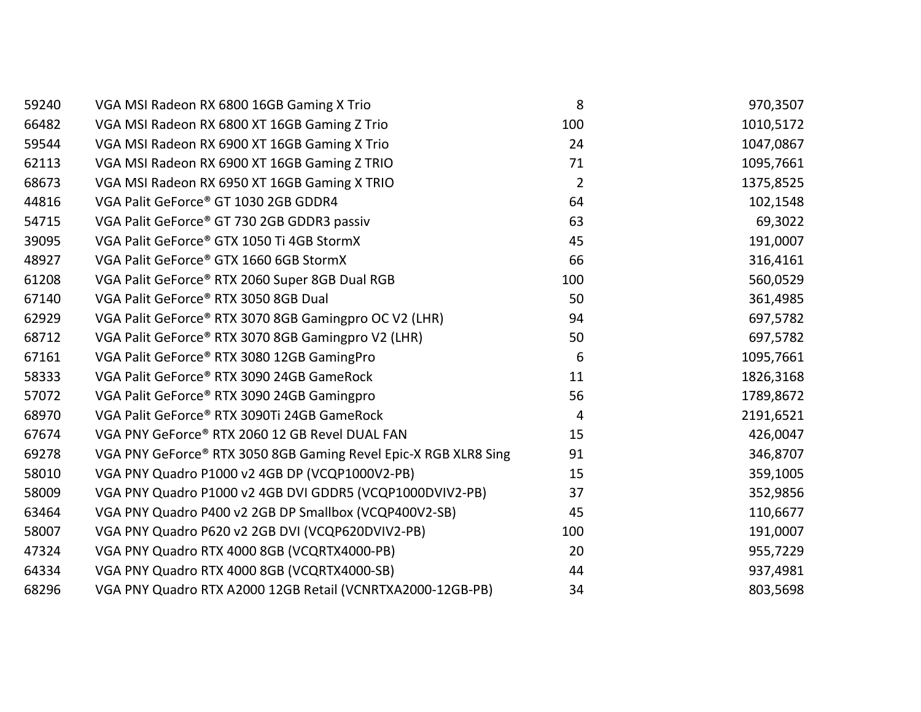| 59240 | VGA MSI Radeon RX 6800 16GB Gaming X Trio                       | 8              | 970,3507  |
|-------|-----------------------------------------------------------------|----------------|-----------|
| 66482 | VGA MSI Radeon RX 6800 XT 16GB Gaming Z Trio                    | 100            | 1010,5172 |
| 59544 | VGA MSI Radeon RX 6900 XT 16GB Gaming X Trio                    | 24             | 1047,0867 |
| 62113 | VGA MSI Radeon RX 6900 XT 16GB Gaming Z TRIO                    | 71             | 1095,7661 |
| 68673 | VGA MSI Radeon RX 6950 XT 16GB Gaming X TRIO                    | $\overline{2}$ | 1375,8525 |
| 44816 | VGA Palit GeForce® GT 1030 2GB GDDR4                            | 64             | 102,1548  |
| 54715 | VGA Palit GeForce® GT 730 2GB GDDR3 passiv                      | 63             | 69,3022   |
| 39095 | VGA Palit GeForce® GTX 1050 Ti 4GB StormX                       | 45             | 191,0007  |
| 48927 | VGA Palit GeForce® GTX 1660 6GB StormX                          | 66             | 316,4161  |
| 61208 | VGA Palit GeForce® RTX 2060 Super 8GB Dual RGB                  | 100            | 560,0529  |
| 67140 | VGA Palit GeForce® RTX 3050 8GB Dual                            | 50             | 361,4985  |
| 62929 | VGA Palit GeForce® RTX 3070 8GB Gamingpro OC V2 (LHR)           | 94             | 697,5782  |
| 68712 | VGA Palit GeForce® RTX 3070 8GB Gamingpro V2 (LHR)              | 50             | 697,5782  |
| 67161 | VGA Palit GeForce® RTX 3080 12GB GamingPro                      | 6              | 1095,7661 |
| 58333 | VGA Palit GeForce® RTX 3090 24GB GameRock                       | 11             | 1826,3168 |
| 57072 | VGA Palit GeForce® RTX 3090 24GB Gamingpro                      | 56             | 1789,8672 |
| 68970 | VGA Palit GeForce® RTX 3090Ti 24GB GameRock                     | 4              | 2191,6521 |
| 67674 | VGA PNY GeForce® RTX 2060 12 GB Revel DUAL FAN                  | 15             | 426,0047  |
| 69278 | VGA PNY GeForce® RTX 3050 8GB Gaming Revel Epic-X RGB XLR8 Sing | 91             | 346,8707  |
| 58010 | VGA PNY Quadro P1000 v2 4GB DP (VCQP1000V2-PB)                  | 15             | 359,1005  |
| 58009 | VGA PNY Quadro P1000 v2 4GB DVI GDDR5 (VCQP1000DVIV2-PB)        | 37             | 352,9856  |
| 63464 | VGA PNY Quadro P400 v2 2GB DP Smallbox (VCQP400V2-SB)           | 45             | 110,6677  |
| 58007 | VGA PNY Quadro P620 v2 2GB DVI (VCQP620DVIV2-PB)                | 100            | 191,0007  |
| 47324 | VGA PNY Quadro RTX 4000 8GB (VCQRTX4000-PB)                     | 20             | 955,7229  |
| 64334 | VGA PNY Quadro RTX 4000 8GB (VCQRTX4000-SB)                     | 44             | 937,4981  |
| 68296 | VGA PNY Quadro RTX A2000 12GB Retail (VCNRTXA2000-12GB-PB)      | 34             | 803,5698  |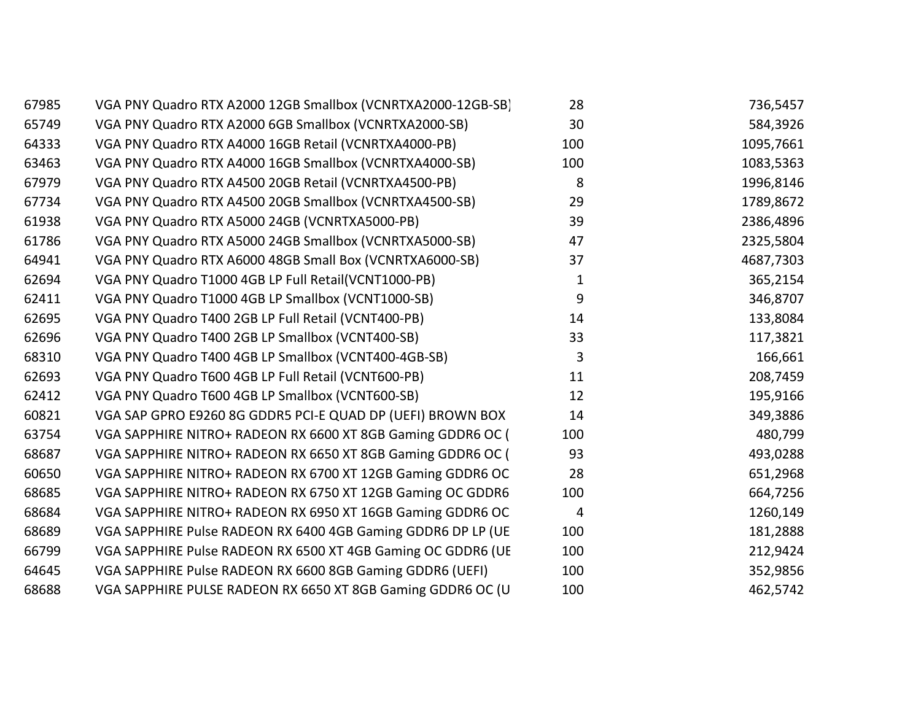| 67985 | VGA PNY Quadro RTX A2000 12GB Smallbox (VCNRTXA2000-12GB-SB) | 28  | 736,5457  |
|-------|--------------------------------------------------------------|-----|-----------|
| 65749 | VGA PNY Quadro RTX A2000 6GB Smallbox (VCNRTXA2000-SB)       | 30  | 584,3926  |
| 64333 | VGA PNY Quadro RTX A4000 16GB Retail (VCNRTXA4000-PB)        | 100 | 1095,7661 |
| 63463 | VGA PNY Quadro RTX A4000 16GB Smallbox (VCNRTXA4000-SB)      | 100 | 1083,5363 |
| 67979 | VGA PNY Quadro RTX A4500 20GB Retail (VCNRTXA4500-PB)        | 8   | 1996,8146 |
| 67734 | VGA PNY Quadro RTX A4500 20GB Smallbox (VCNRTXA4500-SB)      | 29  | 1789,8672 |
| 61938 | VGA PNY Quadro RTX A5000 24GB (VCNRTXA5000-PB)               | 39  | 2386,4896 |
| 61786 | VGA PNY Quadro RTX A5000 24GB Smallbox (VCNRTXA5000-SB)      | 47  | 2325,5804 |
| 64941 | VGA PNY Quadro RTX A6000 48GB Small Box (VCNRTXA6000-SB)     | 37  | 4687,7303 |
| 62694 | VGA PNY Quadro T1000 4GB LP Full Retail(VCNT1000-PB)         | 1   | 365,2154  |
| 62411 | VGA PNY Quadro T1000 4GB LP Smallbox (VCNT1000-SB)           | 9   | 346,8707  |
| 62695 | VGA PNY Quadro T400 2GB LP Full Retail (VCNT400-PB)          | 14  | 133,8084  |
| 62696 | VGA PNY Quadro T400 2GB LP Smallbox (VCNT400-SB)             | 33  | 117,3821  |
| 68310 | VGA PNY Quadro T400 4GB LP Smallbox (VCNT400-4GB-SB)         | 3   | 166,661   |
| 62693 | VGA PNY Quadro T600 4GB LP Full Retail (VCNT600-PB)          | 11  | 208,7459  |
| 62412 | VGA PNY Quadro T600 4GB LP Smallbox (VCNT600-SB)             | 12  | 195,9166  |
| 60821 | VGA SAP GPRO E9260 8G GDDR5 PCI-E QUAD DP (UEFI) BROWN BOX   | 14  | 349,3886  |
| 63754 | VGA SAPPHIRE NITRO+ RADEON RX 6600 XT 8GB Gaming GDDR6 OC (  | 100 | 480,799   |
| 68687 | VGA SAPPHIRE NITRO+ RADEON RX 6650 XT 8GB Gaming GDDR6 OC (  | 93  | 493,0288  |
| 60650 | VGA SAPPHIRE NITRO+ RADEON RX 6700 XT 12GB Gaming GDDR6 OC   | 28  | 651,2968  |
| 68685 | VGA SAPPHIRE NITRO+ RADEON RX 6750 XT 12GB Gaming OC GDDR6   | 100 | 664,7256  |
| 68684 | VGA SAPPHIRE NITRO+ RADEON RX 6950 XT 16GB Gaming GDDR6 OC   | 4   | 1260,149  |
| 68689 | VGA SAPPHIRE Pulse RADEON RX 6400 4GB Gaming GDDR6 DP LP (UE | 100 | 181,2888  |
| 66799 | VGA SAPPHIRE Pulse RADEON RX 6500 XT 4GB Gaming OC GDDR6 (UE | 100 | 212,9424  |
| 64645 | VGA SAPPHIRE Pulse RADEON RX 6600 8GB Gaming GDDR6 (UEFI)    | 100 | 352,9856  |
| 68688 | VGA SAPPHIRE PULSE RADEON RX 6650 XT 8GB Gaming GDDR6 OC (U  | 100 | 462,5742  |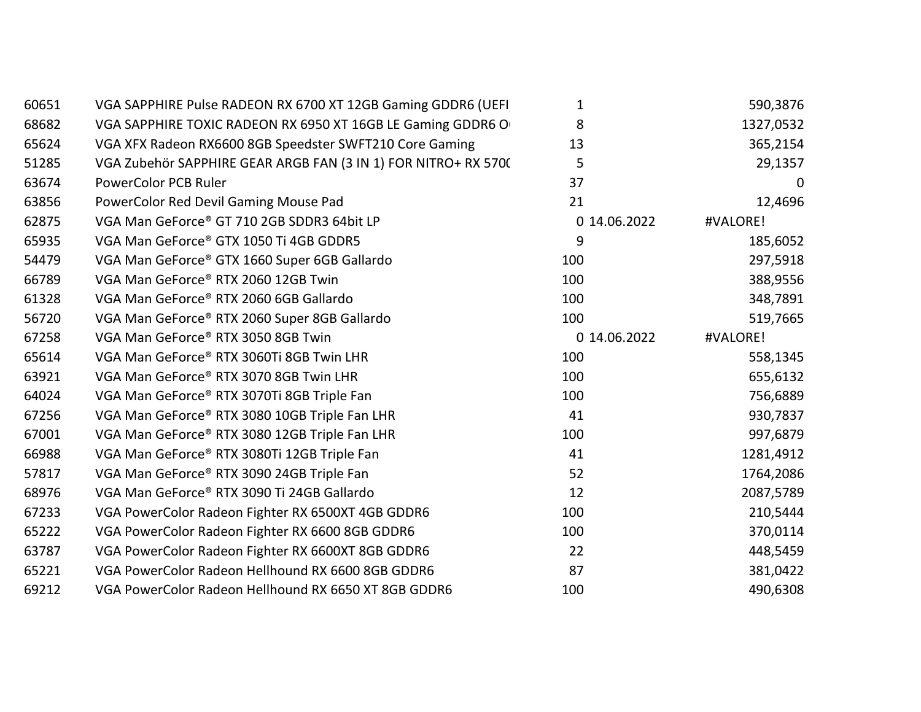| 60651 | VGA SAPPHIRE Pulse RADEON RX 6700 XT 12GB Gaming GDDR6 (UEFI   | 1            | 590,3876  |
|-------|----------------------------------------------------------------|--------------|-----------|
| 68682 | VGA SAPPHIRE TOXIC RADEON RX 6950 XT 16GB LE Gaming GDDR6 O    | 8            | 1327,0532 |
| 65624 | VGA XFX Radeon RX6600 8GB Speedster SWFT210 Core Gaming        | 13           | 365,2154  |
| 51285 | VGA Zubehör SAPPHIRE GEAR ARGB FAN (3 IN 1) FOR NITRO+ RX 5700 | 5            | 29,1357   |
| 63674 | <b>PowerColor PCB Ruler</b>                                    | 37           | 0         |
| 63856 | PowerColor Red Devil Gaming Mouse Pad                          | 21           | 12,4696   |
| 62875 | VGA Man GeForce® GT 710 2GB SDDR3 64bit LP                     | 0 14.06.2022 | #VALORE!  |
| 65935 | VGA Man GeForce® GTX 1050 Ti 4GB GDDR5                         | 9            | 185,6052  |
| 54479 | VGA Man GeForce® GTX 1660 Super 6GB Gallardo                   | 100          | 297,5918  |
| 66789 | VGA Man GeForce® RTX 2060 12GB Twin                            | 100          | 388,9556  |
| 61328 | VGA Man GeForce® RTX 2060 6GB Gallardo                         | 100          | 348,7891  |
| 56720 | VGA Man GeForce® RTX 2060 Super 8GB Gallardo                   | 100          | 519,7665  |
| 67258 | VGA Man GeForce® RTX 3050 8GB Twin                             | 0 14.06.2022 | #VALORE!  |
| 65614 | VGA Man GeForce® RTX 3060Ti 8GB Twin LHR                       | 100          | 558,1345  |
| 63921 | VGA Man GeForce® RTX 3070 8GB Twin LHR                         | 100          | 655,6132  |
| 64024 | VGA Man GeForce® RTX 3070Ti 8GB Triple Fan                     | 100          | 756,6889  |
| 67256 | VGA Man GeForce® RTX 3080 10GB Triple Fan LHR                  | 41           | 930,7837  |
| 67001 | VGA Man GeForce® RTX 3080 12GB Triple Fan LHR                  | 100          | 997,6879  |
| 66988 | VGA Man GeForce® RTX 3080Ti 12GB Triple Fan                    | 41           | 1281,4912 |
| 57817 | VGA Man GeForce® RTX 3090 24GB Triple Fan                      | 52           | 1764,2086 |
| 68976 | VGA Man GeForce® RTX 3090 Ti 24GB Gallardo                     | 12           | 2087,5789 |
| 67233 | VGA PowerColor Radeon Fighter RX 6500XT 4GB GDDR6              | 100          | 210,5444  |
| 65222 | VGA PowerColor Radeon Fighter RX 6600 8GB GDDR6                | 100          | 370,0114  |
| 63787 | VGA PowerColor Radeon Fighter RX 6600XT 8GB GDDR6              | 22           | 448,5459  |
| 65221 | VGA PowerColor Radeon Hellhound RX 6600 8GB GDDR6              | 87           | 381,0422  |
| 69212 | VGA PowerColor Radeon Hellhound RX 6650 XT 8GB GDDR6           | 100          | 490,6308  |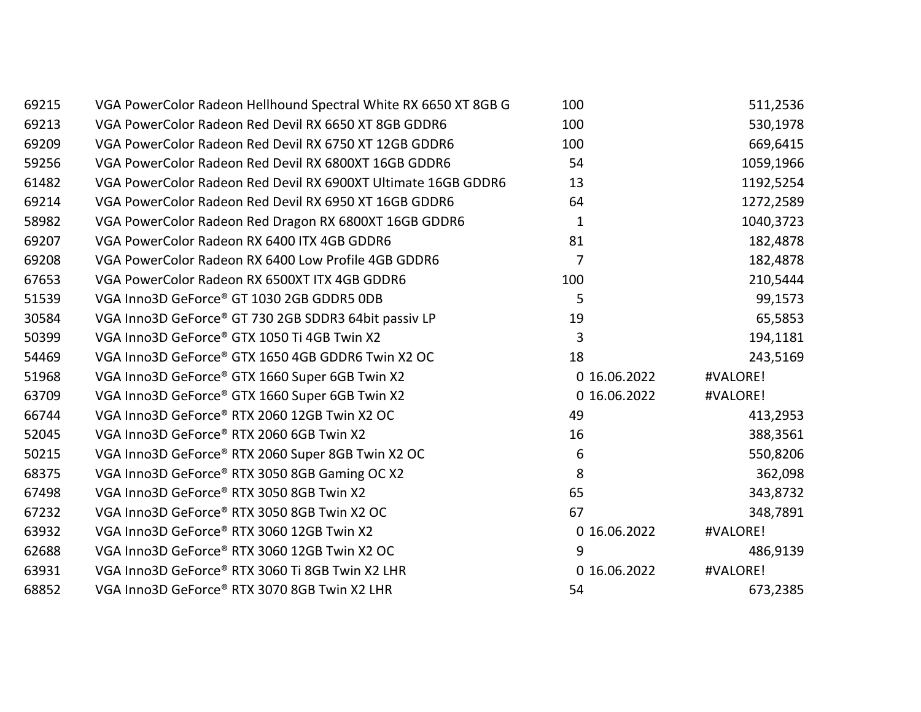| 69215 | VGA PowerColor Radeon Hellhound Spectral White RX 6650 XT 8GB G | 100            | 511,2536  |
|-------|-----------------------------------------------------------------|----------------|-----------|
| 69213 | VGA PowerColor Radeon Red Devil RX 6650 XT 8GB GDDR6            | 100            | 530,1978  |
| 69209 | VGA PowerColor Radeon Red Devil RX 6750 XT 12GB GDDR6           | 100            | 669,6415  |
| 59256 | VGA PowerColor Radeon Red Devil RX 6800XT 16GB GDDR6            | 54             | 1059,1966 |
| 61482 | VGA PowerColor Radeon Red Devil RX 6900XT Ultimate 16GB GDDR6   | 13             | 1192,5254 |
| 69214 | VGA PowerColor Radeon Red Devil RX 6950 XT 16GB GDDR6           | 64             | 1272,2589 |
| 58982 | VGA PowerColor Radeon Red Dragon RX 6800XT 16GB GDDR6           | $\mathbf{1}$   | 1040,3723 |
| 69207 | VGA PowerColor Radeon RX 6400 ITX 4GB GDDR6                     | 81             | 182,4878  |
| 69208 | VGA PowerColor Radeon RX 6400 Low Profile 4GB GDDR6             | $\overline{7}$ | 182,4878  |
| 67653 | VGA PowerColor Radeon RX 6500XT ITX 4GB GDDR6                   | 100            | 210,5444  |
| 51539 | VGA Inno3D GeForce® GT 1030 2GB GDDR5 0DB                       | 5              | 99,1573   |
| 30584 | VGA Inno3D GeForce® GT 730 2GB SDDR3 64bit passiv LP            | 19             | 65,5853   |
| 50399 | VGA Inno3D GeForce® GTX 1050 Ti 4GB Twin X2                     | 3              | 194,1181  |
| 54469 | VGA Inno3D GeForce® GTX 1650 4GB GDDR6 Twin X2 OC               | 18             | 243,5169  |
| 51968 | VGA Inno3D GeForce® GTX 1660 Super 6GB Twin X2                  | 0 16.06.2022   | #VALORE!  |
| 63709 | VGA Inno3D GeForce® GTX 1660 Super 6GB Twin X2                  | 0 16.06.2022   | #VALORE!  |
| 66744 | VGA Inno3D GeForce® RTX 2060 12GB Twin X2 OC                    | 49             | 413,2953  |
| 52045 | VGA Inno3D GeForce® RTX 2060 6GB Twin X2                        | 16             | 388,3561  |
| 50215 | VGA Inno3D GeForce® RTX 2060 Super 8GB Twin X2 OC               | 6              | 550,8206  |
| 68375 | VGA Inno3D GeForce® RTX 3050 8GB Gaming OC X2                   | 8              | 362,098   |
| 67498 | VGA Inno3D GeForce® RTX 3050 8GB Twin X2                        | 65             | 343,8732  |
| 67232 | VGA Inno3D GeForce® RTX 3050 8GB Twin X2 OC                     | 67             | 348,7891  |
| 63932 | VGA Inno3D GeForce® RTX 3060 12GB Twin X2                       | 0 16.06.2022   | #VALORE!  |
| 62688 | VGA Inno3D GeForce® RTX 3060 12GB Twin X2 OC                    | 9              | 486,9139  |
| 63931 | VGA Inno3D GeForce® RTX 3060 Ti 8GB Twin X2 LHR                 | 0 16.06.2022   | #VALORE!  |
| 68852 | VGA Inno3D GeForce® RTX 3070 8GB Twin X2 LHR                    | 54             | 673,2385  |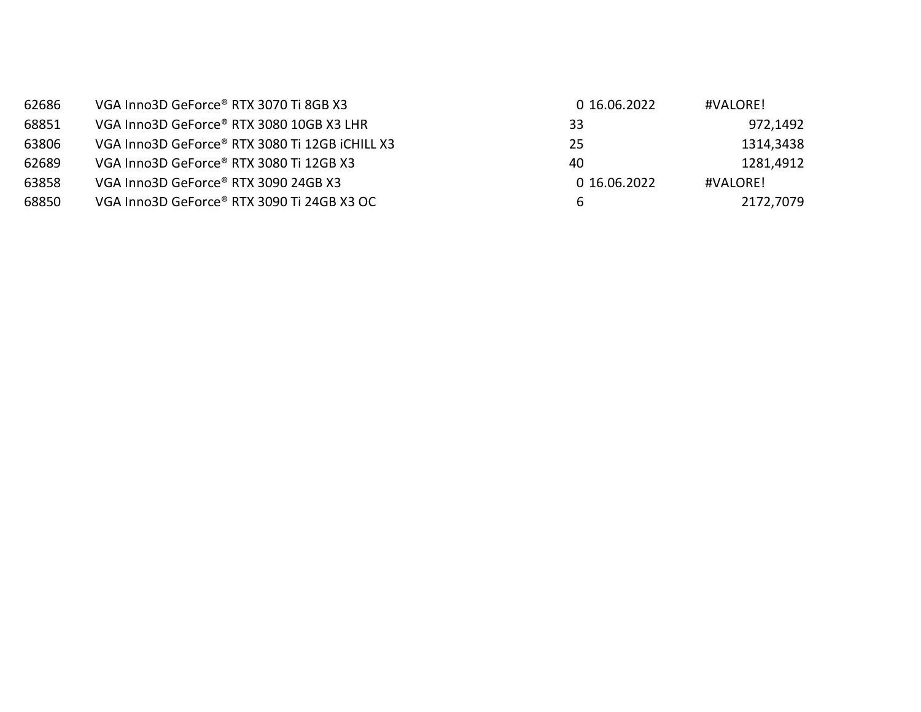| 62686 | VGA Inno3D GeForce® RTX 3070 Ti 8GB X3         | 0 16.06.2022 | #VALORE!  |
|-------|------------------------------------------------|--------------|-----------|
| 68851 | VGA Inno3D GeForce® RTX 3080 10GB X3 LHR       | 33           | 972,1492  |
| 63806 | VGA Inno3D GeForce® RTX 3080 Ti 12GB iCHILL X3 | 25           | 1314,3438 |
| 62689 | VGA Inno3D GeForce® RTX 3080 Ti 12GB X3        | 40           | 1281,4912 |
| 63858 | VGA Inno3D GeForce® RTX 3090 24GB X3           | 0 16.06.2022 | #VALORE!  |
| 68850 | VGA Inno3D GeForce® RTX 3090 Ti 24GB X3 OC     | b            | 2172,7079 |